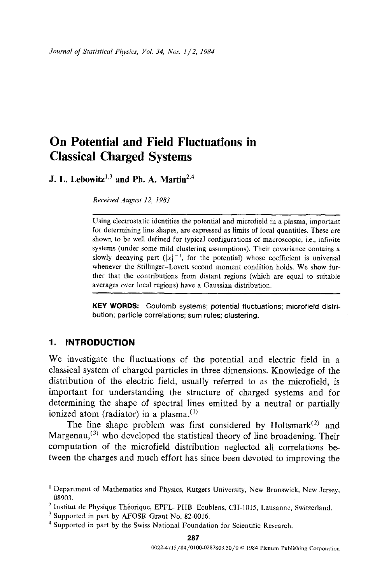# **On Potential and Field Fluctuations in Classical Charged Systems**

**J. L. Lebowitz<sup>1,3</sup> and Ph. A. Martin<sup>2,4</sup>** 

*Received August 12, 1983* 

Using electrostatic identities the potential and microfield in a plasma, important for determining line shapes, are expressed as limits of local quantities. These are shown to be well defined for typical configurations of macroscopic, i.e., infinite systems (under some mild clustering assumptions). Their covariance contains a slowly decaying part  $(|x|^{-1}$ , for the potential) whose coefficient is universal whenever the Stillinger-Lovett second moment condition holds. We show further that the contributions from distant regions (which are equal to suitable averages over local regions) have a Gaussian distribution.

**KEY WORDS:** Coulomb systems; potential fluctuations; microfield **distribution;** particle correlations; sum rules; clustering.

# **1. INTRODUCTION**

We investigate the fluctuations of the potential and electric field in a classical system of charged particles in three dimensions. Knowledge of the distribution of the electric field, usually referred to as the microfield, is important for understanding the structure of charged systems and for determining the shape of spectral lines emitted by a neutral or partially ionized atom (radiator) in a plasma. $(1)$ 

The line shape problem was first considered by Holtsmark<sup>(2)</sup> and Margenau,<sup>(3)</sup> who developed the statistical theory of line broadening. Their computation of the microfield distribution neglected all correlations between the charges and much effort has since been devoted to improving the

<sup>&</sup>lt;sup>1</sup> Department of Mathematics and Physics, Rutgers University, New Brunswick, New Jersey, 08903.

<sup>&</sup>lt;sup>2</sup> Institut de Physique Théorique, EPFL-PHB-Ecublens, CH-1015, Lausanne, Switzerland.

<sup>&</sup>lt;sup>3</sup> Supported in part by AFOSR Grant No. 82-0016.

<sup>&</sup>lt;sup>4</sup> Supported in part by the Swiss National Foundation for Scientific Research.

**<sup>287</sup>**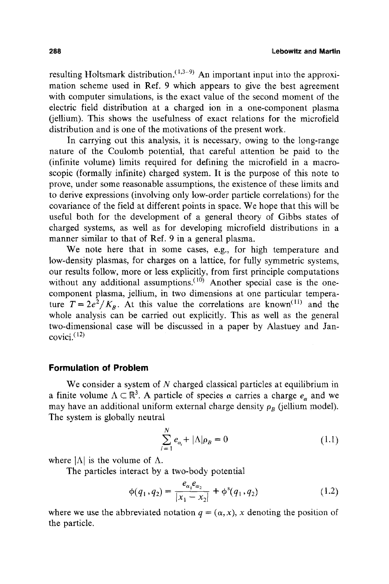resulting Holtsmark distribution.  $(1,3-9)$  An important input into the approximation scheme used in Ref. 9 which appears to give the best agreement with computer simulations, is the exact value of the second moment of the electric field distribution at a charged ion in a one-component plasma (jellium). This shows the usefulness of exact relations for the microfield distribution and is one of the motivations of the present work.

In carrying out this analysis, it is necessary, owing to the long-range nature of the Coulomb potential, that careful attention be paid to the (infinite volume) limits required for defining the microfield in a macroscopic (formally infinite) charged system. It is the purpose of this note to prove, under some reasonable assumptions, the existence of these limits and to derive expressions (involving only low-order particle correlations) for the covarianee of the field at different points in space. We hope that this will be useful both for the development of a general theory of Gibbs states of charged systems, as well as for developing microfield distributions in a manner similar to that of Ref. 9 in a general plasma.

We note here that in some cases, e.g., for high temperature and low-density plasmas, for charges on a lattice, for fully symmetric systems, our results follow, more or less explicitly, from first principle computations without any additional assumptions.  $(10)$  Another special case is the onecomponent plasma, jellium, in two dimensions at one particular temperature  $T = 2e^2/K_B$ . At this value the correlations are known<sup>(11)</sup> and the whole analysis can be carried out explicitly. This as well as the general two-dimensional case will be discussed in a paper by Alastuey and Jan $covici.$ <sup> $(12)$ </sup>

### **Formulation of Problem**

We consider a system of  $N$  charged classical particles at equilibrium in a finite volume  $\Lambda \subset \mathbb{R}^3$ . A particle of species  $\alpha$  carries a charge  $e_\alpha$  and we may have an additional uniform external charge density  $\rho_R$  (jellium model). The system is globally neutral

$$
\sum_{i=1}^{N} e_{\alpha_i} + |\Lambda| \rho_B = 0 \tag{1.1}
$$

where  $|\Lambda|$  is the volume of  $\Lambda$ .

The particles interact by a two-body potential

$$
\phi(q_1, q_2) = \frac{e_{\alpha_1} e_{\alpha_2}}{|x_1 - x_2|} + \phi^s(q_1, q_2)
$$
 (1.2)

where we use the abbreviated notation  $q = (\alpha, x)$ , x denoting the position of the particle.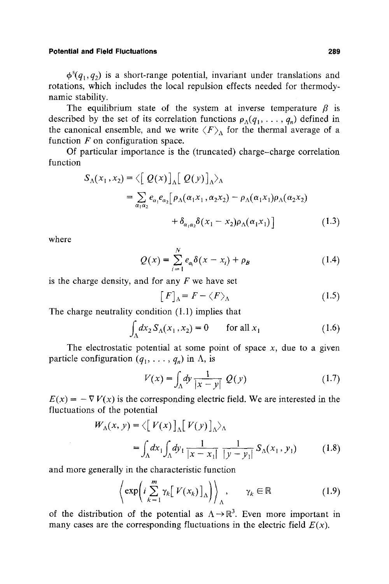$\phi^{s}(q_1,q_2)$  is a short-range potential, invariant under translations and rotations, which includes the local repulsion effects needed for thermodynamic stability.

The equilibrium state of the system at inverse temperature  $\beta$  is described by the set of its correlation functions  $\rho_{\Lambda}(q_1, \ldots, q_n)$  defined in the canonical ensemble, and we write  $\langle F \rangle$  for the thermal average of a function  $F$  on configuration space.

Of particular importance is the (truncated) charge-charge correlation function

$$
S_{\Lambda}(x_1, x_2) = \left\langle \left[ Q(x) \right]_{\Lambda} \left[ Q(y) \right]_{\Lambda} \right\rangle_{\Lambda}
$$
  
= 
$$
\sum_{\alpha_1 \alpha_2} e_{\alpha_1} e_{\alpha_2} \left[ \rho_{\Lambda}(\alpha_1 x_1, \alpha_2 x_2) - \rho_{\Lambda}(\alpha_1 x_1) \rho_{\Lambda}(\alpha_2 x_2) + \delta_{\alpha_1 \alpha_2} \delta(x_1 - x_2) \rho_{\Lambda}(\alpha_1 x_1) \right]
$$
(1.3)

where

$$
Q(x) = \sum_{i=1}^{N} e_{\alpha_i} \delta(x - x_i) + \rho_B \tag{1.4}
$$

is the charge density, and for any  $F$  we have set

$$
[F]_{\Lambda} = F - \langle F \rangle_{\Lambda} \tag{1.5}
$$

The charge neutrality condition (1.1) implies that

$$
\int_{\Lambda} dx_2 \, S_{\Lambda}(x_1, x_2) = 0 \qquad \text{for all } x_1 \tag{1.6}
$$

The electrostatic potential at some point of space  $x$ , due to a given particle configuration  $(q_1, \ldots, q_n)$  in  $\Lambda$ , is

$$
V(x) = \int_{\Lambda} dy \frac{1}{|x - y|} Q(y)
$$
 (1.7)

 $E(x) = -\nabla V(x)$  is the corresponding electric field. We are interested in the fluctuations of the potential

$$
W_{\Lambda}(x, y) = \langle [V(x)]_{\Lambda} [V(y)]_{\Lambda} \rangle_{\Lambda}
$$
  
= 
$$
\int_{\Lambda} dx_1 \int_{\Lambda} dy_1 \frac{1}{|x - x_1|} \frac{1}{|y - y_1|} S_{\Lambda}(x_1, y_1)
$$
 (1.8)

and more generally in the characteristic function

$$
\left\langle \exp\left(i\sum_{k=1}^{m} \gamma_k \left[V(x_k)\right]_{\Lambda}\right)\right\rangle_{\Lambda}, \qquad \gamma_k \in \mathbb{R} \tag{1.9}
$$

of the distribution of the potential as  $\Lambda \rightarrow \mathbb{R}^3$ . Even more important in many cases are the corresponding fluctuations in the electric field  $E(x)$ .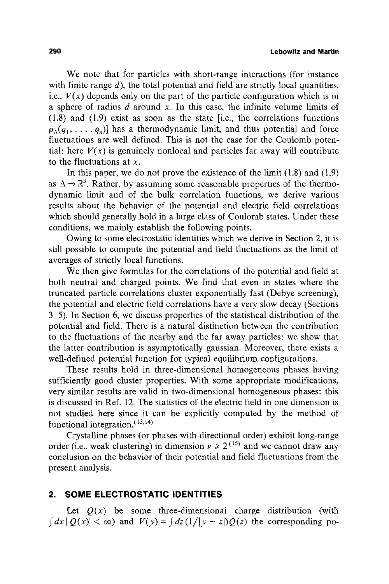We note that for particles with short-range interactions (for instance with finite range  $d$ ), the total potential and field are strictly local quantities, i.e.,  $V(x)$  depends only on the part of the particle configuration which is in a sphere of radius  $d$  around  $x$ . In this case, the infinite volume limits of (1.8) and (1.9) exist as soon as the state [i.e., the correlations functions  $\rho_{\Lambda}(q_1, \ldots, q_n)$ ] has a thermodynamic limit, and thus potential and force fluctuations are well defined. This is not the case for the Coulomb potential: here  $V(x)$  is genuinely nonlocal and particles far away will contribute to the fluctuations at  $x$ .

In this paper, we do not prove the existence of the limit (1.8) and (1.9) as  $\Lambda \rightarrow \mathbb{R}^3$ . Rather, by assuming some reasonable properties of the thermodynamic limit and of the bulk correlation functions, we derive various results about the behavior of the potential and electric field correlations which should generally hold in a large class of Coulomb states. Under these conditions, we mainly establish the following points.

Owing to some electrostatic identities which we derive in Section 2, it is still possible to compute the potential and field fluctuations as the limit of averages of strictly local functions.

We then give formulas for the correlations of the potential and field at both neutral and charged points. We find that even in states where the truncated particle correlations cluster exponentially fast (Debye screening), the potential and electric field correlations have a very slow decay (Sections 3-5). In Section 6, we discuss properties of the statistical distribution of the potential and field. There is a natural distinction between the contribution to the fluctuations of the nearby and the far away particles: we show that the latter contribution is asymptotically gaussian. Moreover, there exists a well-defined potential function for typical equilibrium configurations.

These results hold in three-dimensional homogeneous phases having sufficiently good cluster properties. With some appropriate modifications, very similar results are valid in two-dimensional homogeneous phases: this is discussed in Ref. 12. The statistics of the electric field in one dimension is not studied here since it can be explicitly computed by the method of functional integration.  $(13,14)$ 

Crystalline phases (or phases with directional order) exhibit long-range order (i.e., weak clustering) in dimension  $v \ge 2^{(15)}$  and we cannot draw any conclusion on the behavior of their potential and field fluctuations from the present analysis.

# **2. SOME ELECTROSTATIC IDENTITIES**

Let  $Q(x)$  be some three-dimensional charge distribution (with  $f\{dx \mid Q(x)| < \infty\}$  and  $V(y) = \int dz(1/|y - z|)Q(z)$  the corresponding po-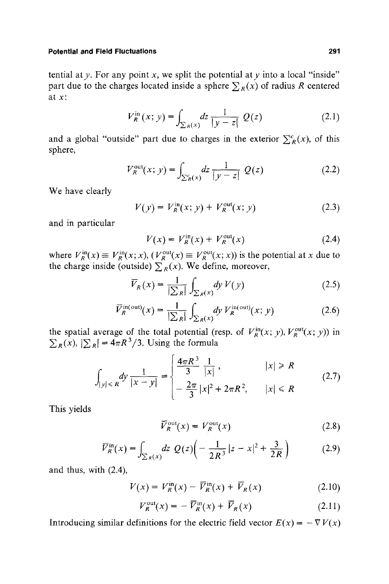tential at  $y$ . For any point  $x$ , we split the potential at  $y$  into a local "inside" part due to the charges located inside a sphere  $\sum_{R}(x)$  of radius R centered at x:

$$
V_R^{\text{in}}(x; y) = \int_{\sum_R(x)} dz \, \frac{1}{|y - z|} \, Q(z) \tag{2.1}
$$

and a global "outside" part due to charges in the exterior  $\sum_{R}^{c}(x)$ , of this sphere,

$$
V_R^{\text{out}}(x; y) = \int_{\sum_R^c(x)} dz \, \frac{1}{|y - z|} \ Q(z) \tag{2.2}
$$

We have clearly

$$
V(y) = V_R^{\text{in}}(x; y) + V_R^{\text{out}}(x; y)
$$
 (2.3)

and in particular

$$
V(x) = V_R^{\text{in}}(x) + V_R^{\text{out}}(x)
$$
 (2.4)

where  $V_R^{\text{in}}(x) \equiv V_R^{\text{in}}(x; x)$ ,  $(V_R^{\text{out}}(x) \equiv V_R^{\text{out}}(x; x))$  is the potential at x due to the charge inside (outside)  $\sum_{R} (x)$ . We define, moreover,

$$
\overline{V}_R(x) = \frac{1}{|\sum_R|} \int_{\sum_R(x)} dy \ V(y) \tag{2.5}
$$

$$
\overline{V}_R^{\text{in(out)}}(x) = \frac{1}{|\sum_R|} \int_{\sum_R(x)} dy \ V_R^{\text{in(out)}}(x; y) \tag{2.6}
$$

the spatial average of the total potential (resp. of  $V_R^{\text{in}}(x; y)$ ,  $V_R^{\text{out}}(x; y)$ ) in  $\sum_{R}(x)$ ,  $|\sum_{R}| = 4\pi R^{3}/3$ . Using the formula

$$
\int_{|y| \le R} dy \frac{1}{|x - y|} = \begin{cases} \frac{4\pi R^3}{3} \frac{1}{|x|}, & |x| \ge R \\ -\frac{2\pi}{3} |x|^2 + 2\pi R^2, & |x| \le R \end{cases}
$$
 (2.7)

This yields

$$
\overline{V}_R^{\text{out}}(x) = V_R^{\text{out}}(x) \tag{2.8}
$$

$$
\overline{V}_R^{\text{in}}(x) = \int_{\sum_R(x)} dz \ Q(z) \left( -\frac{1}{2R^3} |z - x|^2 + \frac{3}{2R} \right) \tag{2.9}
$$

and thus, with (2.4),

$$
V(x) = V_R^{\text{in}}(x) - \overline{V}_R^{\text{in}}(x) + \overline{V}_R(x) \tag{2.10}
$$

$$
V_R^{\text{out}}(x) = -\overline{V}_R^{\text{in}}(x) + \overline{V}_R(x) \tag{2.11}
$$

Introducing similar definitions for the electric field vector  $E(x) = -\nabla V(x)$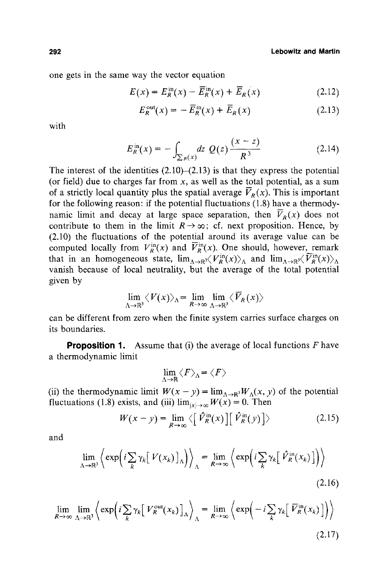one gets in the same way the vector equation

$$
E(x) = E_R^{\text{in}}(x) - \overline{E}_R^{\text{in}}(x) + \overline{E}_R(x) \tag{2.12}
$$

$$
E_R^{\text{out}}(x) = -\overline{E}_R^{\text{in}}(x) + \overline{E}_R(x) \tag{2.13}
$$

with

$$
E_R^{\text{in}}(x) = -\int_{\sum_R(x)} dz \ Q(z) \frac{(x - z)}{R^3}
$$
 (2.14)

The interest of the identities  $(2.10)$ – $(2.13)$  is that they express the potential (or field) due to charges far from  $x$ , as well as the total potential, as a sum of a strictly local quantity plus the spatial average  $\overline{V}_p(x)$ . This is important for the following reason: if the potential fluctuations  $(1.8)$  have a thermodynamic limit and decay at large space separation, then  $\overline{V}_R(x)$  does not contribute to them in the limit  $R\rightarrow\infty$ ; cf. next proposition. Hence, by (2.10) the fluctuations of the potential around its average value can be computed locally from  $V_R^{\text{in}}(x)$  and  $\overline{V}_R^{\text{in}}(x)$ . One should, however, remark that in an homogeneous state,  $\lim_{\Lambda \to \mathbb{R}^3} \langle V_R^{\text{in}}(x) \rangle_\Lambda$  and  $\lim_{\Lambda \to \mathbb{R}^3} \langle \overline{V}_R^{\text{in}}(x) \rangle_\Lambda$ vanish because of local neutrality, but the average of the total potential given by

$$
\lim_{\Lambda\to\mathbb{R}^3}\langle V(x)\rangle_{\Lambda}=\lim_{R\to\infty}\lim_{\Lambda\to\mathbb{R}^3}\langle\overline{V}_R(x)\rangle
$$

can be different from zero when the finite system carries surface charges on its boundaries.

**Proposition 1.** Assume that (i) the average of local functions F have a thermodynamic limit

$$
\lim_{\Lambda\to\mathbb{R}}\langle F\rangle_{\Lambda}=\langle F\rangle
$$

(ii) the thermodynamic limit  $W(x - y) = \lim_{\Delta \to \mathbb{R}^3} W_{\Delta}(x, y)$  of the potential fluctuations (1.8) exists, and (iii)  $\lim_{|x| \to \infty} W(x) = 0$ . Then

$$
W(x - y) = \lim_{R \to \infty} \langle \left[ \hat{V}_R^{\text{in}}(x) \right] \left[ \hat{V}_R^{\text{in}}(y) \right] \rangle \tag{2.15}
$$

and

$$
\lim_{\Lambda \to \mathbb{R}^3} \left\langle \exp \left( i \sum_{k} \gamma_k \big[ V(x_k) \big]_{\Lambda} \right) \right\rangle_{\Lambda} = \lim_{R \to \infty} \left\langle \exp \left( i \sum_{k} \gamma_k \big[ \hat{V}_R^{\text{in}}(x_k) \big] \right) \right\rangle \tag{2.16}
$$

$$
\lim_{R \to \infty} \lim_{\Lambda \to \mathbb{R}^3} \left\{ \exp \left( i \sum_{k} \gamma_k \left[ V_R^{\text{out}}(x_k) \right]_{\Lambda} \right)_{\Lambda} = \lim_{R \to \infty} \left\{ \exp \left( -i \sum_{k} \gamma_k \left[ \overline{V}_R^{\text{in}}(x_k) \right] \right) \right\} \right\}
$$
\n(2.17)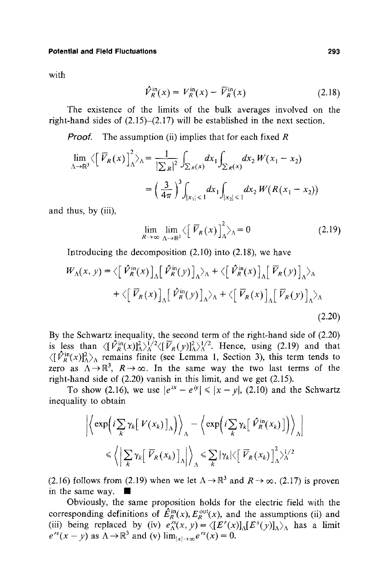with

$$
\hat{V}_R^{\text{in}}(x) = V_R^{\text{in}}(x) - \overline{V}_R^{\text{in}}(x) \tag{2.18}
$$

The existence of the limits of the bulk averages involved on the right-hand sides of (2.15)-(2.17) will be established in the next section.

*Proof.* The assumption (ii) implies that for each fixed R

$$
\lim_{\Delta \to \mathbb{R}^3} \left\langle \left[ \overline{\mathcal{V}}_R(x) \right]_{\Delta}^2 \right\rangle_{\Delta} = \frac{1}{\left| \sum R \right|^2} \int_{\sum R(x)} dx_1 \int_{\sum R(x)} dx_2 W(x_1 - x_2)
$$

$$
= \left( \frac{3}{4\pi} \right)^3 \int_{|x_1| \le 1} dx_1 \int_{|x_2| \le 1} dx_2 W(R(x_1 - x_2))
$$

and thus, by (iii),

$$
\lim_{R \to \infty} \lim_{\Lambda \to \mathbb{R}^3} \langle \left[ \overline{V}_R(x) \right]_{\Lambda}^2 \rangle_{\Lambda} = 0 \tag{2.19}
$$

Introducing the decomposition (2.10) into (2.18), we have

$$
W_{\Lambda}(x, y) = \left\langle \left[ \hat{V}_{R}^{\text{in}}(x) \right]_{\Lambda} \left[ \hat{V}_{R}^{\text{in}}(y) \right]_{\Lambda} \right\rangle_{\Lambda} + \left\langle \left[ \hat{V}_{R}^{\text{in}}(x) \right]_{\Lambda} \left[ \overline{V}_{R}(y) \right]_{\Lambda} \right\rangle_{\Lambda}
$$

$$
+ \left\langle \left[ \overline{V}_{R}(x) \right]_{\Lambda} \left[ \hat{V}_{R}^{\text{in}}(y) \right]_{\Lambda} \right\rangle_{\Lambda} + \left\langle \left[ \overline{V}_{R}(x) \right]_{\Lambda} \left[ \overline{V}_{R}(y) \right]_{\Lambda} \right\rangle_{\Lambda}
$$
(2.20)

By the Schwartz inequality, the second term of the right-hand side of (2.20) is less than  $\langle [\hat{V}_R^{\text{in}}(x)]_\Delta^2\rangle_{\Delta}^{1/2}\langle [\overline{V}_R(y)]_\Delta^2\rangle_{\Delta}^{1/2}$ . Hence, using (2.19) and that  $\langle [\hat{V}_R^{\text{in}}(x)]_A^2 \rangle_A$  remains finite (see Lemma 1, Section 3), this term tends to zero as  $\Lambda \rightarrow \mathbb{R}^3$ ,  $R \rightarrow \infty$ . In the same way the two last terms of the right-hand side of (2.20) vanish in this limit, and we get (2.15).

To show (2.16), we use  $|e^{ix} - e^{iy}| \le |x - y|$ , (2.10) and the Schwartz inequality to obtain

$$
\left| \left\langle \exp \left( i \sum_{k} \gamma_{k} \left[ V(x_{k}) \right]_{\Lambda} \right) \right\rangle_{\Lambda} - \left\langle \exp \left( i \sum_{k} \gamma_{k} \left[ \hat{V}_{R}^{\text{in}}(x_{k}) \right] \right) \right\rangle_{\Lambda} \right|
$$
  

$$
\leq \left\langle \left| \sum_{k} \gamma_{k} \left[ \overline{V}_{R}(x_{k}) \right]_{\Lambda} \right| \right\rangle_{\Lambda} \leq \sum_{k} |\gamma_{k}| \left\langle \left[ \overline{V}_{R}(x_{k}) \right]_{\Lambda}^{2} \right\rangle_{\Lambda}^{1/2}
$$

(2.16) follows from (2.19) when we let  $\Lambda \rightarrow \mathbb{R}^3$  and  $R \rightarrow \infty$ . (2.17) is proven in the same way.  $\blacksquare$ 

Obviously, the same proposition holds for the electric field with the corresponding definitions of  $E_R^m(x)$ ,  $E_R^{\text{out}}(x)$ , and the assumptions (ii) and (iii) being replaced by (iv)  $e^{iS}(x, y) = \langle [E'(x)]_A [E^{S}(y)]_A \rangle_A$  has a limit  $e^{rs}(x - y)$  as  $\Lambda \rightarrow \mathbb{R}^3$  and (v)  $\lim_{|x| \rightarrow \infty} e^{rs}(x) = 0$ .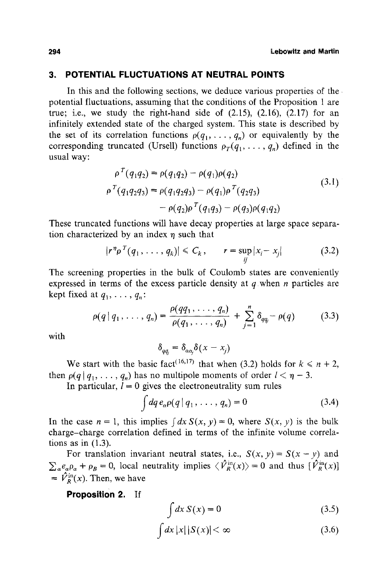# **3, POTENTIAL FLUCTUATIONS AT NEUTRAL POINTS**

In this and the following sections, we deduce various properties of the potential fluctuations, assuming that the conditions of the Proposition 1 are true; i.e., we study the right-hand side of  $(2.15)$ ,  $(2.16)$ ,  $(2.17)$  for an infinitely extended state of the charged system. This state is described by the set of its correlation functions  $p(q_1, \ldots, q_n)$  or equivalently by the corresponding truncated (Ursell) functions  $\rho_T(q_1, \ldots, q_n)$  defined in the usual way:

$$
\rho^{T}(q_{1}q_{2}) = \rho(q_{1}q_{2}) - \rho(q_{1})\rho(q_{2})
$$
\n
$$
\rho^{T}(q_{1}q_{2}q_{3}) = \rho(q_{1}q_{2}q_{3}) - \rho(q_{1})\rho^{T}(q_{2}q_{3})
$$
\n
$$
- \rho(q_{2})\rho^{T}(q_{1}q_{3}) - \rho(q_{3})\rho(q_{1}q_{2})
$$
\n(3.1)

These truncated functions will have decay properties at large space separation characterized by an index  $\eta$  such that

$$
|r^n\rho^T(q_1,\ldots,q_k)| \leq C_k, \qquad r = \sup_{ij}|x_i - x_j| \qquad (3.2)
$$

The screening properties in the bulk of Coulomb states are conveniently expressed in terms of the excess particle density at  $q$  when  $n$  particles are kept fixed at  $q_1, \ldots, q_n$ :

$$
\rho(q \,|\, q_1, \ldots, q_n) = \frac{\rho(q q_1, \ldots, q_n)}{\rho(q_1, \ldots, q_n)} + \sum_{j=1}^n \delta_{qq_j} - \rho(q) \tag{3.3}
$$

with

$$
\delta_{qq_j} = \delta_{\alpha\alpha_j}\delta(x-x_j)
$$

We start with the basic fact<sup>(16,17)</sup> that when (3.2) holds for  $k \le n + 2$ , then  $p(q | q_1, \ldots, q_n)$  has no multipole moments of order  $l < \eta - 3$ .

In particular,  $\bar{l} = 0$  gives the electroneutrality sum rules

$$
\int dq \, e_{\alpha} \rho(q \mid q_1, \ldots, q_n) = 0 \tag{3.4}
$$

In the case  $n = 1$ , this implies  $\int dx S(x, y) = 0$ , where  $S(x, y)$  is the bulk charge-charge correlation defined in terms of the infinite volume correlations as in  $(1.3)$ .

For translation invariant neutral states, i.e.,  $S(x, y) = S(x - y)$  and  $\sum_{\alpha} e_{\alpha} \rho_{\alpha} + \rho_{\beta} = 0$ , local neutrality implies  $\langle \hat{V}_R^{\text{in}}(x) \rangle = 0$  and thus  $[\hat{V}_R^{\text{in}}(x)]$  $= \hat{V}_R^{\text{in}}(x)$ . Then, we have

**Proposition 2.** If

$$
\int dx S(x) = 0 \tag{3.5}
$$

$$
\int dx |x| |S(x)| < \infty \tag{3.6}
$$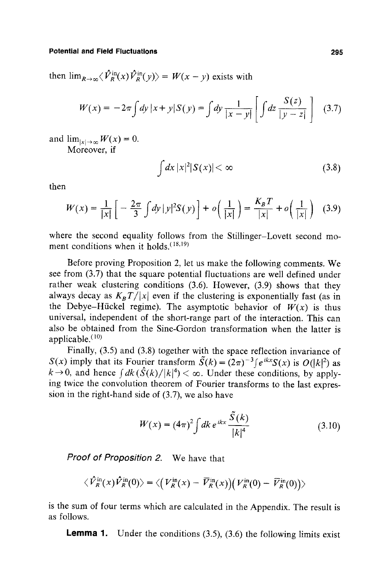then  $\lim_{R\to\infty}\langle \hat{V}_R^{\text{in}}(x)\hat{V}_R^{\text{in}}(y)\rangle = W(x-y)$  exists with

$$
W(x) = -2\pi \int dy \, |x+y| S(y) = \int dy \, \frac{1}{|x-y|} \left[ \int dz \, \frac{S(z)}{|y-z|} \right] \tag{3.7}
$$

and  $\lim_{|x| \to \infty} W(x) = 0$ . Moreover, if

$$
\int dx \, |x|^2 |S(x)| < \infty \tag{3.8}
$$

then

$$
W(x) = \frac{1}{|x|} \left[ -\frac{2\pi}{3} \int dy \, |y|^2 S(y) \right] + o\left(\frac{1}{|x|}\right) = \frac{K_B T}{|x|} + o\left(\frac{1}{|x|}\right) \tag{3.9}
$$

where the second equality follows from the Stillinger-Lovett second moment conditions when it holds.  $(18,19)$ 

Before proving Proposition 2, let us make the following comments. We see from (3.7) that the square potential fluctuations are well defined under rather weak clustering conditions (3.6). However, (3.9) shows that they always decay as  $K_B T/|x|$  even if the clustering is exponentially fast (as in the Debye-Hückel regime). The asymptotic behavior of  $W(x)$  is thus universal, independent of the short-range part of the interaction. This can also be obtained from the Sine-Gordon transformation when the latter is applicable. $(10)$ 

Finally, (3.5) and (3.8) together with the space reflection invariance of *S(x)* imply that its Fourier transform  $\tilde{S}(k) = (2\pi)^{-3} \int e^{ikx} S(x)$  is  $O(|k|^2)$  as  $k\rightarrow 0$ , and hence  $\int dk(\hat{S}(k)/|k|^4) < \infty$ . Under these conditions, by applying twice the convolution theorem of Fourier transforms to the last expression in the right-hand side of (3.7), we also have

$$
W(x) = (4\pi)^2 \int dk \, e^{ikx} \frac{\tilde{S}(k)}{|k|^4}
$$
 (3.10)

*Proof of Proposition 2.* We have that

$$
\langle \hat{V}_R^{\text{in}}(x)\hat{V}_R^{\text{in}}(0)\rangle = \langle \left(V_R^{\text{in}}(x) - \overline{V}_R^{\text{in}}(x)\right) \left(V_R^{\text{in}}(0) - \overline{V}_R^{\text{in}}(0)\right)\rangle
$$

is the sum of four terms which are calculated in the Appendix. The result is as follows.

**Lemma** 1. Under the conditions (3.5), (3.6) the following limits exist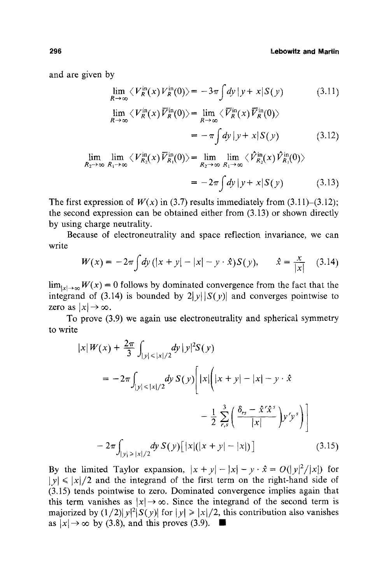and are given by

$$
\lim_{R \to \infty} \langle V_R^{\text{in}}(x) V_R^{\text{in}}(0) \rangle = -3\pi \int dy \, |y + x| S(y) \tag{3.11}
$$

$$
\lim_{R \to \infty} \langle V_R^{\text{in}}(x) \overline{V}_R^{\text{in}}(0) \rangle = \lim_{R \to \infty} \langle \overline{V}_R^{\text{in}}(x) \overline{V}_R^{\text{in}}(0) \rangle
$$
  
=  $-\pi \int dy |y + x| S(y)$  (3.12)

$$
\lim_{R_2 \to \infty} \lim_{R_1 \to \infty} \langle V_{R_2}^{\text{in}}(x) \overline{V}_{R_1}^{\text{in}}(0) \rangle = \lim_{R_2 \to \infty} \lim_{R_1 \to \infty} \langle \hat{V}_{R_2}^{\text{in}}(x) \hat{V}_{R_1}^{\text{in}}(0) \rangle
$$
  
=  $-2\pi \int dy |y + x| S(y)$  (3.13)

The first expression of  $W(x)$  in (3.7) results immediately from (3.11)–(3.12); the second expression can be obtained either from (3.13) or shown directly by using charge neutrality.

Because of electroneutrality and space reflection invariance, we can write

$$
W(x) = -2\pi \int dy \, (|x + y| - |x| - y \cdot \hat{x}) S(y), \qquad \hat{x} = \frac{x}{|x|} \quad (3.14)
$$

 $\lim_{|x| \to \infty} W(x) = 0$  follows by dominated convergence from the fact that the integrand of (3.14) is bounded by  $2|y||S(y)|$  and converges pointwise to zero as  $|x| \to \infty$ .

To prove (3.9) we again use electroneutrality and spherical symmetry to write

$$
|x|W(x) + \frac{2\pi}{3} \int_{|y| \le |x|/2} dy |y|^2 S(y)
$$
  
=  $-2\pi \int_{|y| \le |x|/2} dy S(y) [ |x| (|x + y| - |x| - y \cdot \hat{x} + \frac{1}{2} \sum_{r,s}^{3} (\frac{\delta_{rs} - \hat{x}^r \hat{x}^s}{|x|}) y^r y^s ]$   
 $-2\pi \int_{|y| \ge |x|/2} dy S(y) [ |x| (|x + y| - |x|)]$  (3.15)

By the limited Taylor expansion,  $|x + y| - |x| - y \cdot \hat{x} = O(|y|^2/|x|)$  for  $|y| \le |x|/2$  and the integrand of the first term on the right-hand side of (3,15) tends pointwise to zero. Dominated convergence implies again that this term vanishes as  $|x| \to \infty$ . Since the integrand of the second term is majorized by  $(1/2)|y|^2|S(y)|$  for  $|y| \ge |x|/2$ , this contribution also vanishes as  $|x| \to \infty$  by (3.8), and this proves (3.9).  $\blacksquare$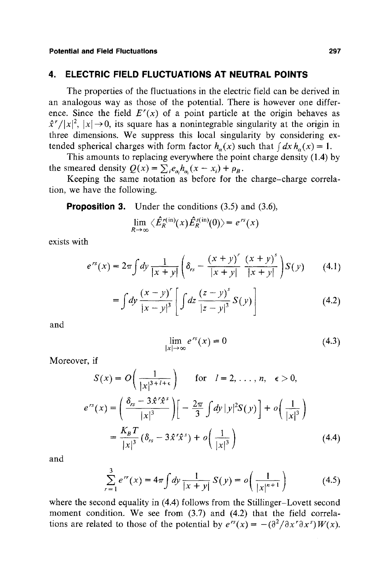# **4. ELECTRIC FIELD FLUCTUATIONS AT NEUTRAL POINTS**

The properties of the fluctuations in the electric field can be derived in an analogous way as those of the potential. There is however one difference. Since the field  $E'(x)$  of a point particle at the origin behaves as  $\hat{x}^r/|x|^2$ ,  $|x| \rightarrow 0$ , its square has a nonintegrable singularity at the origin in three dimensions. We suppress this local singularity by considering extended spherical charges with form factor  $h_{\alpha}(x)$  such that  $\int dx h_{\alpha}(x) = 1$ .

This amounts to replacing everywhere the point charge density (1.4) by the smeared density  $Q(x) = \sum_{i} e_{\alpha_i} h_{\alpha_i}(x - x_i) + \rho_B$ .

Keeping the same notation as before for the charge-charge correlation, we have the following.

**Proposition 3.** Under the conditions (3.5) and (3.6),

$$
\lim_{R\to\infty}\langle\hat{E}_R^{\prime\text{(in)}}(x)\hat{E}_R^{\,s\text{(in)}}(0)\rangle=e^{rs}(x)
$$

exists with

$$
e^{rs}(x) = 2\pi \int dy \frac{1}{|x+y|} \left( \delta_{rs} - \frac{(x+y)^r}{|x+y|} \frac{(x+y)^s}{|x+y|} \right) S(y) \tag{4.1}
$$

$$
= \int dy \frac{(x - y)^{r}}{|x - y|^{3}} \left[ \int dz \frac{(z - y)^{s}}{|z - y|^{3}} S(y) \right]
$$
 (4.2)

and

$$
\lim_{|x| \to \infty} e^{rs}(x) = 0 \tag{4.3}
$$

Moreover, if

$$
S(x) = O\left(\frac{1}{|x|^{3+l+\epsilon}}\right) \quad \text{for} \quad l = 2, \dots, n, \quad \epsilon > 0,
$$
  

$$
e^{rs}(x) = \left(\frac{\delta_{rs} - 3\hat{x}'\hat{x}^s}{|x|^3}\right) \left[-\frac{2\pi}{3} \int dy \, |y|^2 S(y)\right] + o\left(\frac{1}{|x|^3}\right)
$$
  

$$
= \frac{K_B T}{|x|^3} (\delta_{rs} - 3\hat{x}'\hat{x}^s) + o\left(\frac{1}{|x|^3}\right)
$$
(4.4)

and

$$
\sum_{r=1}^{3} e^{rr}(x) = 4\pi \int dy \frac{1}{|x+y|} S(y) = o\left(\frac{1}{|x|^{n+1}}\right)
$$
 (4.5)

where the second equality in (4.4) follows from the Stillinger-Lovett second moment condition. We see from  $(3.7)$  and  $(4.2)$  that the field correlations are related to those of the potential by  $e^{rs}(x) = -(\frac{\partial^2}{\partial x^r \partial x^s}W(x))$ .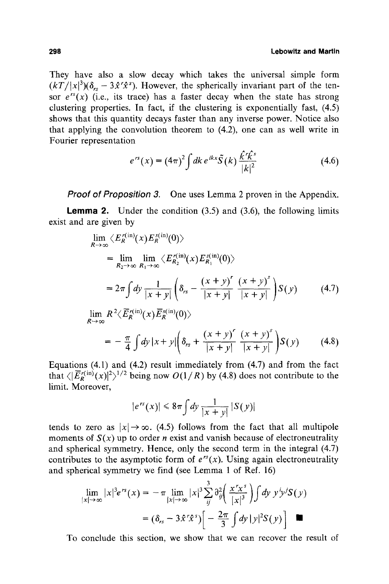#### **298 Lebowitz and Martin**

They have also a slow decay which takes the universal simple form  $(kT/|x|^3)(\delta_{rs}-3\hat{x}^r\hat{x}^s)$ . However, the spherically invariant part of the tensor  $e^{rs}(x)$  (i.e., its trace) has a faster decay when the state has strong clustering properties. In fact, if the clustering is exponentially fast, (4.5) shows that this quantity decays faster than any inverse power. Notice also that applying the convolution theorem to (4.2), one can as well write in Fourier representation

$$
e^{rs}(x) = (4\pi)^2 \int dk \, e^{ikx} \tilde{S}(k) \, \frac{\hat{k}' \hat{k}^s}{|k|^2} \tag{4.6}
$$

*Proof of Proposition 3.* One uses Lemma 2 proven in the Appendix.

**Lemma 2.** Under the condition  $(3.5)$  and  $(3.6)$ , the following limits exist and are given by

$$
\lim_{R \to \infty} \langle E_R^{r(\text{in})}(x) E_R^{s(\text{in})}(0) \rangle
$$
\n
$$
= \lim_{R_2 \to \infty} \lim_{R_1 \to \infty} \langle E_{R_2}^{r(\text{in})}(x) E_{R_1}^{s(\text{in})}(0) \rangle
$$
\n
$$
= 2\pi \int dy \frac{1}{|x+y|} \left( \delta_{rs} - \frac{(x+y)^r}{|x+y|} \frac{(x+y)^s}{|x+y|} \right) S(y) \qquad (4.7)
$$
\n
$$
\lim_{R \to \infty} R^2 \langle \overline{E}_R^{r(\text{in})}(x) \overline{E}_R^{s(\text{in})}(0) \rangle
$$
\n
$$
= -\frac{\pi}{4} \int dy |x+y| \left( \delta_{rs} + \frac{(x+y)^r}{|x+y|} \frac{(x+y)^s}{|x+y|} \right) S(y) \qquad (4.8)
$$

Equations (4.1) and (4.2) result immediately from (4.7) and from the fact that  $\langle \left| \overline{E}_{b}^{r(\text{in})}(x) \right|^{2} \rangle^{1/2}$  being now  $O(1/R)$  by (4.8) does not contribute to the limit. Moreover,

$$
|e^{rs}(x)| \leq 8\pi \int dy \frac{1}{|x+y|} |S(y)|
$$

tends to zero as  $|x| \to \infty$ . (4.5) follows from the fact that all multipole moments of  $S(x)$  up to order *n* exist and vanish because of electroneutrality and spherical symmetry. Hence, only the second term in the integral (4.7) contributes to the asymptotic form of  $e^{rs}(x)$ . Using again electroneutrality and spherical symmetry we find (see Lemma 1 of Ref. 16)

$$
\lim_{|x| \to \infty} |x|^3 e^{rs}(x) = -\pi \lim_{|x| \to \infty} |x|^3 \sum_{ij}^3 \frac{\partial^2}{\partial y} \left( \frac{x^r x^s}{|x|^3} \right) \int dy \ y^i y^j S(y)
$$

$$
= (\delta_{rs} - 3\hat{x}^r \hat{x}^s) \left[ -\frac{2\pi}{3} \int dy \ |y|^2 S(y) \right] \quad \blacksquare
$$

To conclude this section, we show that we can recover the result of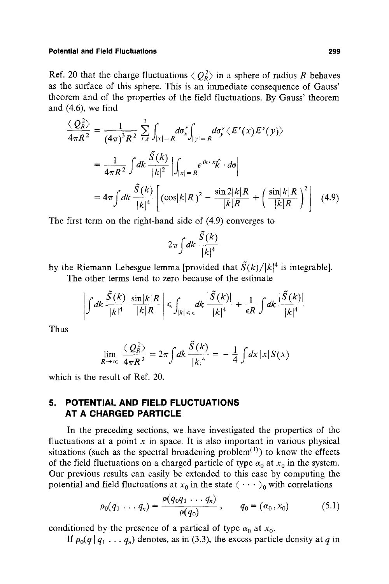Ref. 20 that the charge fluctuations  $\langle Q_R^2 \rangle$  in a sphere of radius R behaves as the surface of this sphere. This is an immediate consequence of Gauss' theorem and of the properties of the field fluctuations. By Gauss' theorem and (4.6), we find

$$
\frac{\langle Q_R^2 \rangle}{4\pi R^2} = \frac{1}{(4\pi)^3 R^2} \sum_{r,s}^3 \int_{|x|=R} d\sigma_x^r \int_{|y|=R} d\sigma_y^s \langle E^r(x) E^s(y) \rangle
$$
  
= 
$$
\frac{1}{4\pi R^2} \int dk \frac{\tilde{S}(k)}{|k|^2} \left| \int_{|x|=R} e^{ik \cdot x} \hat{k} \cdot d\sigma \right|
$$
  
= 
$$
4\pi \int dk \frac{\tilde{S}(k)}{|k|^4} \left[ (\cos |k|R)^2 - \frac{\sin 2|k|R}{|k|R} + \left( \frac{\sin |k|R}{|k|R} \right)^2 \right] (4.9)
$$

The first term on the right-hand side of (4.9) converges to

$$
2\pi \int dk \frac{\tilde{S}(k)}{|k|^4}
$$

by the Riemann Lebesgue lemma [provided that  $\tilde{S}(k)/|k|^4$  is integrable]. The other terms tend to zero because of the estimate

$$
\left|\int dk \frac{\tilde{S}(k)}{|k|^4} \frac{\sin |k|R}{|k|R}\right| \leq \int_{|k| < \epsilon} dk \frac{|\tilde{S}(k)|}{|k|^4} + \frac{1}{\epsilon R} \int dk \frac{|\tilde{S}(k)|}{|k|^4}
$$

Thus

$$
\lim_{R\to\infty}\frac{\langle Q_R^2\rangle}{4\pi R^2}=2\pi\int dk\frac{\tilde{S}(k)}{|k|^4}=-\frac{1}{4}\int dx\,|x|S(x)
$$

which is the result of Ref. 20.

# **5. POTENTIAL AND FIELD FLUCTUATIONS AT A CHARGED PARTICLE**

In the preceding sections, we have investigated the properties of the fluctuations at a point  $x$  in space. It is also important in various physical situations (such as the spectral broadening problem<sup>(1)</sup>) to know the effects of the field fluctuations on a charged particle of type  $\alpha_0$  at  $x_0$  in the system. Our previous results can easily be extended to this case by computing the potential and field fluctuations at  $x_0$  in the state  $\langle \cdots \rangle_0$  with correlations

$$
\rho_0(q_1 \ldots q_n) = \frac{\rho(q_0 q_1 \ldots q_n)}{\rho(q_0)}, \qquad q_0 = (\alpha_0, x_0) \tag{5.1}
$$

conditioned by the presence of a partical of type  $\alpha_0$  at  $x_0$ .

If  $\rho_0(q | q_1 \ldots q_n)$  denotes, as in (3.3), the excess particle density at q in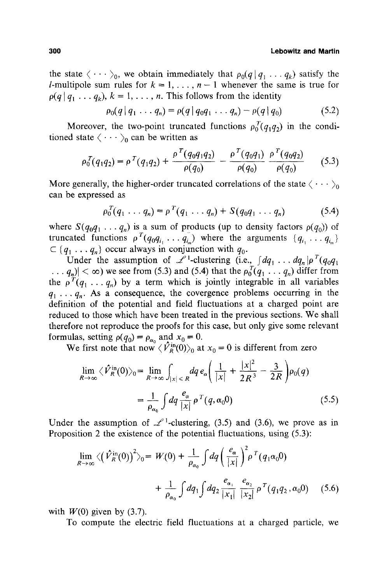#### **300 Lebowitz and Martin**

the state  $\langle \cdots \rangle_0$ , we obtain immediately that  $\rho_0(q|q_1 \ldots q_k)$  satisfy the *l*-multipole sum rules for  $k = 1, \ldots, n - 1$  whenever the same is true for  $\rho(q | q_1 \ldots q_k)$ ,  $k = 1, \ldots, n$ . This follows from the identity

$$
\rho_0(q \,|\, q_1 \ldots q_n) = \rho(q \,|\, q_0 q_1 \ldots q_n) - \rho(q \,|\, q_0) \tag{5.2}
$$

Moreover, the two-point truncated functions  $\rho_0^T(q_1q_2)$  in the conditioned state  $\langle \cdots \rangle_0$  can be written as

$$
\rho_0^T(q_1q_2) = \rho^T(q_1q_2) + \frac{\rho^T(q_0q_1q_2)}{\rho(q_0)} - \frac{\rho^T(q_0q_1)}{\rho(q_0)} \frac{\rho^T(q_0q_2)}{\rho(q_0)} \tag{5.3}
$$

More generally, the higher-order truncated correlations of the state  $\langle \cdots \rangle_0$ can be expressed as

$$
\rho_0^T(q_1 \ldots q_n) = \rho^T(q_1 \ldots q_n) + S(q_0 q_1 \ldots q_n)
$$
 (5.4)

where  $S(q_0q_1 \ldots q_n)$  is a sum of products (up to density factors  $\rho(q_0)$ ) of truncated functions  $\rho^{T}(q_{0}q_{i_{1}} \ldots q_{i_{m}})$  where the arguments  $\{q_{i_{1}} \ldots q_{i_{m}}\}$  $\subset \{q_1 \ldots q_n\}$  occur always in conjunction with  $q_0$ .

Under the assumption of  $\mathcal{L}^1$ -clustering (i.e.,  $\int dq_1 \ldots dq_n |\rho|^T(q_0 q_1)$  $\ldots$   $q_n$ ) <  $\infty$ ) we see from (5.3) and (5.4) that the  $\rho_0^T(q_1 \ldots q_n)$  differ from the  $\rho^{T}(q_1 \ldots q_n)$  by a term which is jointly integrable in all variables  $q_1 \ldots q_n$ . As a consequence, the covergence problems occurring in the definition of the potential and field fluctuations at a charged point are reduced to those which have been treated in the previous sections. We shall therefore not reproduce the proofs for this case, but only give some relevant formulas, setting  $\rho(q_0) = \rho_{\alpha_0}$  and  $x_0 = 0$ .

We first note that now  $\langle V_{R}^{\text{m}}(0)\rangle_0$  at  $x_0 = 0$  is different from zero

$$
\lim_{R \to \infty} \langle \hat{V}_R^{\text{in}}(0) \rangle_0 = \lim_{R \to \infty} \int_{|x| \le R} dq \, e_\alpha \bigg( \frac{1}{|x|} + \frac{|x|^2}{2R^3} - \frac{3}{2R} \bigg) \rho_0(q)
$$
\n
$$
= \frac{1}{\rho_{\alpha_0}} \int dq \, \frac{e_\alpha}{|x|} \, \rho \, ^T(q, \alpha_0 0) \tag{5.5}
$$

Under the assumption of  $\mathcal{L}^1$ -clustering, (3.5) and (3.6), we prove as in Proposition 2 the existence of the potential fluctuations, using (5.3):

$$
\lim_{R \to \infty} \langle (\hat{V}_R^{\text{in}}(0))^2 \rangle_0 = W(0) + \frac{1}{\rho_{\alpha_0}} \int dq \left( \frac{e_\alpha}{|x|} \right)^2 \rho^T(q_1 \alpha_0 0) + \frac{1}{\rho_{\alpha_0}} \int dq_1 \int dq_2 \frac{e_{\alpha_1}}{|x_1|} \frac{e_{\alpha_2}}{|x_2|} \rho^T(q_1 q_2, \alpha_0 0) \tag{5.6}
$$

with  $W(0)$  given by (3.7).

To compute the electric field fluctuations at a charged particle, we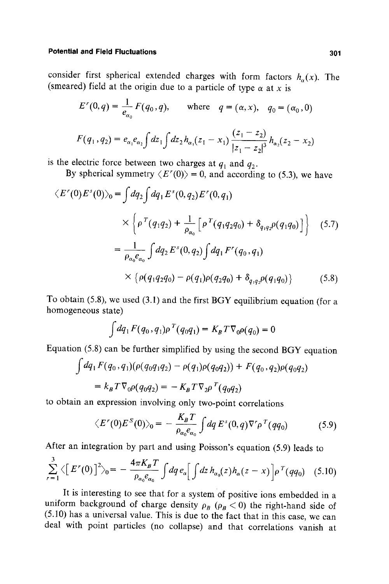consider first spherical extended charges with form factors  $h_{\alpha}(x)$ . The (smeared) field at the origin due to a particle of type  $\alpha$  at x is

$$
E'(0, q) = \frac{1}{e_{\alpha_0}} F(q_0, q)
$$
, where  $q = (\alpha, x)$ ,  $q_0 = (\alpha_0, 0)$ 

$$
F(q_1, q_2) = e_{\alpha_1} e_{\alpha_2} \int dz_1 \int dz_2 h_{\alpha_1}(z_1 - x_1) \frac{(z_1 - z_2)}{|z_1 - z_2|^3} h_{\alpha_2}(z_2 - x_2)
$$

is the electric force between two charges at  $q_1$  and  $q_2$ .

By spherical symmetry  $\langle E'(0) \rangle = 0$ , and according to (5.3), we have

$$
\langle E'(0)E^{s}(0)\rangle_{0} = \int dq_{2} \int dq_{1} E^{s}(0, q_{2}) E'(0, q_{1})
$$
  

$$
\times \left\{ \rho^{T}(q_{1}q_{2}) + \frac{1}{\rho_{\alpha_{0}}} \left[ \rho^{T}(q_{1}q_{2}q_{0}) + \delta_{q_{1}q_{2}} \rho(q_{1}q_{0}) \right] \right\} \quad (5.7)
$$
  

$$
= \frac{1}{\rho_{\alpha_{0}} e_{\alpha_{0}}} \int dq_{2} E^{s}(0, q_{2}) \int dq_{1} F'(q_{0}, q_{1})
$$
  

$$
\times \left\{ \rho(q_{1}q_{2}q_{0}) - \rho(q_{1}) \rho(q_{2}q_{0}) + \delta_{q_{1}q_{2}} \rho(q_{1}q_{0}) \right\} \qquad (5.8)
$$

To obtain (5.8), we used (3.1) and the first BGY equilibrium equation (for a homogeneous state)

$$
\int dq_1 F(q_0, q_1) \rho^T(q_0 q_1) = K_B T \nabla_0 \rho(q_0) = 0
$$

Equation (5.8) can be further simplified by using the second BGY equation

$$
\int dq_1 F(q_0, q_1)(\rho(q_0q_1q_2) - \rho(q_1)\rho(q_0q_2)) + F(q_0, q_2)\rho(q_0q_2)
$$
  
=  $k_B T \nabla_0 \rho(q_0q_2) = -K_B T \nabla_2 \rho^T(q_0q_2)$ 

to obtain an expression involving only two-point correlations

$$
\langle E'(0)E^S(0)\rangle_0 = -\frac{K_BT}{\rho_{\alpha_0}e_{\alpha_0}}\int dq\ E^s(0,q)\nabla^r\rho^T(qq_0) \tag{5.9}
$$

After an integration by part and using Poisson's equation (5.9) leads to

$$
\sum_{r=1}^{3} \langle \left[ E'(0) \right]^2 \rangle_0 = -\frac{4\pi K_B T}{\rho_{\alpha_0} e_{\alpha_0}} \int dq \, e_{\alpha} \Big[ \int dz \, h_{\alpha_0}(z) h_{\alpha}(z-x) \Big] \rho^T(qq_0) \quad (5.10)
$$

It is interesting to see that for a system of positive ions embedded in a uniform background of charge density  $\rho_B$  ( $\rho_B < 0$ ) the right-hand side of (5.10) has a universal value. This is due to the fact that in this case, we can deal with point particles (no collapse) and that correlations vanish at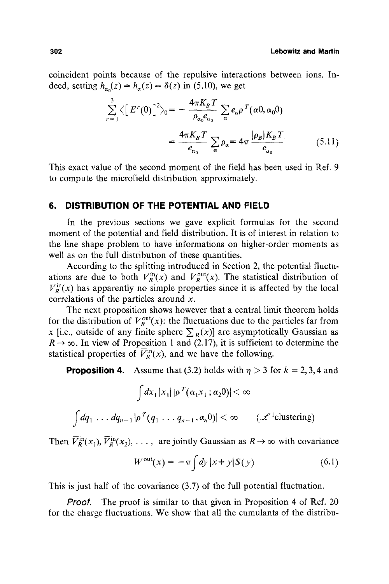coincident points because of the repulsive interactions between ions. Indeed, setting  $h_{\alpha}(z) = h_{\alpha}(z) = \delta(z)$  in (5.10), we get

$$
\sum_{r=1}^{3} \langle \left[ E'(0) \right]^2 \rangle_0 = -\frac{4\pi K_B T}{\rho_{\alpha_0} e_{\alpha_0}} \sum_{\alpha} e_{\alpha} \rho^T(\alpha 0, \alpha_0 0)
$$

$$
= \frac{4\pi K_B T}{e_{\alpha_0}} \sum_{\alpha} \rho_{\alpha} = 4\pi \frac{|\rho_B| K_B T}{e_{\alpha_0}} \tag{5.11}
$$

This exact value of the second moment of the field has been used in Ref. 9 to compute the microfield distribution approximately.

### **6. DISTRIBUTION OF THE POTENTIAL AND FIELD**

In the previous sections we gave explicit formulas for the second moment of the potential and field distribution. It is of interest in relation to the line shape problem to have informations on higher-order moments as well as on the full distribution of these quantities.

According to the splitting introduced in Section 2, the potential fluctuations are due to both  $V_R^{\text{in}}(x)$  and  $V_R^{\text{out}}(x)$ . The statistical distribution of  $V_p^{\text{in}}(x)$  has apparently no simple properties since it is affected by the local correlations of the particles around x.

The next proposition shows however that a central limit theorem holds for the distribution of  $V_R^{out}(x)$ : the fluctuations due to the particles far from x [i.e., outside of any finite sphere  $\sum_{R}(x)$ ] are asymptotically Gaussian as  $R \rightarrow \infty$ . In view of Proposition 1 and (2.17), it is sufficient to determine the statistical properties of  $\overline{V}_R^{\text{in}}(x)$ , and we have the following.

**Proposition 4.** Assume that (3.2) holds with  $\eta > 3$  for  $k = 2, 3, 4$  and

$$
\int dx_1 |x_1| |\rho^{T}(\alpha_1 x_1; \alpha_2 0)| < \infty
$$
  

$$
\int dq_1 \ldots dq_{n-1} |\rho^{T} (q_1 \ldots q_{n-1}, \alpha_n 0)| < \infty \qquad (\mathcal{L}^1 \text{clustering})
$$

Then  $\overline{V}_R^{\text{in}}(x_1)$ ,  $\overline{V}_R^{\text{in}}(x_2)$ , ..., are jointly Gaussian as  $R \to \infty$  with covariance

$$
W^{\text{out}}(x) = -\pi \int dy \, |x + y| S(y) \tag{6.1}
$$

This is just half of the covariance (3.7) of the full potential fluctuation.

*Proof.* The proof is similar to that given in Proposition 4 of Ref. 20 for the charge fluctuations. We show that all the cumulants of the distribu-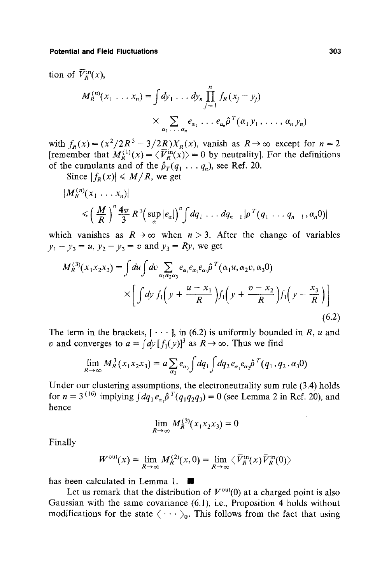tion of  $\overline{V}_R^{\text{in}}(x)$ ,

$$
M_R^{(n)}(x_1 \dots x_n) = \int dy_1 \dots dy_n \prod_{j=1}^n f_R(x_j - y_j)
$$
  
 
$$
\times \sum_{\alpha_1 \dots \alpha_n} e_{\alpha_1} \dots e_{\alpha_n} \hat{p}^T(\alpha_1 y_1, \dots, \alpha_n y_n)
$$

with  $f_R(x) = (x^2/2R^3 - 3/2R)X_R(x)$ , vanish as  $R \to \infty$  except for  $n = 2$ [remember that  $M_R^{(1)}(x) = \langle V_R^{\text{in}}(x) \rangle = 0$  by neutrality]. For the definitions of the cumulants and of the  $\hat{\rho}_T(q_1 \dots q_n)$ , see Ref. 20.

Since  $|f_R(x)| \le M/R$ , we get

$$
|M_R^{(n)}(x_1 \ldots x_n)|
$$
  
\$\leqslant \left(\frac{M}{R}\right)^n \frac{4\pi}{3} R^3 \left(\sup\_{\alpha} |e\_{\alpha}|\right)^n \int dq\_1 \ldots dq\_{n-1} |\rho^T(q\_1 \ldots q\_{n-1}, \alpha\_n 0)|\$

which vanishes as  $R \rightarrow \infty$  when  $n > 3$ . After the change of variables  $y_1 - y_3 = u$ ,  $y_2 - y_3 = v$  and  $y_3 = Ry$ , we get

$$
M_R^{(3)}(x_1x_2x_3) = \int du \int dv \sum_{\alpha_1 \alpha_2 \alpha_3} e_{\alpha_1} e_{\alpha_2} e_{\alpha_3} \hat{\rho}^T(\alpha_1 u, \alpha_2 v, \alpha_3 0)
$$

$$
\times \left[ \int dy \ f_1 \left( y + \frac{u - x_1}{R} \right) f_1 \left( y + \frac{v - x_2}{R} \right) f_1 \left( y - \frac{x_3}{R} \right) \right]
$$
(6.2)

The term in the brackets,  $[\cdots]$ , in (6.2) is uniformly bounded in R, u and v and converges to  $a = (dy [f_1(y)]^3$  as  $R \to \infty$ . Thus we find

$$
\lim_{R\to\infty} M_R^3(x_1x_2x_3) = a \sum_{\alpha_3} e_{\alpha_3} \int dq_1 \int dq_2 e_{\alpha_1} e_{\alpha_2} \hat{\rho}^T(q_1, q_2, \alpha_3 0)
$$

Under our clustering assumptions, the electroneutrality sum rule (3.4) holds for  $n = 3^{(16)}$  implying  $\int dq_1 e_{\alpha} \hat{\rho}^T(q_1q_2q_3) = 0$  (see Lemma 2 in Ref. 20), and hence

$$
\lim_{R\to\infty} M_R^{(3)}(x_1x_2x_3) = 0
$$

Finally

$$
W^{\text{out}}(x) = \lim_{R \to \infty} M_R^{(2)}(x,0) = \lim_{R \to \infty} \langle \overline{V}_R^{\text{in}}(x) \overline{V}_R^{\text{in}}(0) \rangle
$$

has been calculated in Lemma 1.

Let us remark that the distribution of  $V^{out}(0)$  at a charged point is also Gaussian with the same covariance (6.1), i.e., Proposition 4 holds without modifications for the state  $\langle \cdots \rangle_0$ . This follows from the fact that using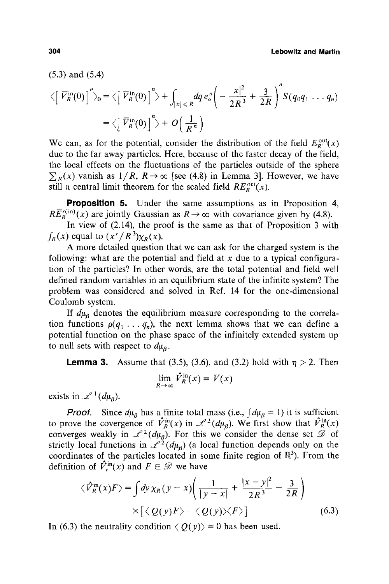(5.3) and (5.4)

$$
\langle \left[ \overline{V}_R^{\text{in}}(0) \right]^n \rangle_0 = \langle \left[ \overline{V}_R^{\text{in}}(0) \right]^n \rangle + \int_{|x| \le R} dq \, e_\alpha^n \bigg( -\frac{|x|^2}{2R^3} + \frac{3}{2R} \bigg)^n S(q_0 q_1 \dots q_n)
$$

$$
= \langle \left[ \overline{V}_R^{\text{in}}(0) \right]^n \rangle + O\left( \frac{1}{R^n} \right)
$$

We can, as for the potential, consider the distribution of the field  $E_R^{\text{out}}(x)$ due to the far away particles. Here, because of the faster decay of the field, the local effects on the fluctuations of the particles outside of the sphere  $\sum_{R}(x)$  vanish as  $1/R$ ,  $R \rightarrow \infty$  [see (4.8) in Lemma 3]. However, we have still a central limit theorem for the scaled field  $RE<sub>R</sub><sup>out</sup>(x)$ .

**Proposition** 5. Under the same assumptions as in Proposition 4,  $R\overline{E}_{R}^{r(\text{in})}(x)$  are jointly Gaussian as  $R \to \infty$  with covariance given by (4.8).

In view of (2.14), the proof is the same as that of Proposition 3 with  $f_R(x)$  equal to  $(x'/R^3)\chi_R(x)$ .

A more detailed question that we can ask for the charged system is the following: what are the potential and field at  $x$  due to a typical configuration of the particles? In other words, are the total potential and field well defined random variables in an equilibrium state of the infinite system? The problem was considered and solved in Ref. 14 for the one-dimensional Coulomb system.

If  $d\mu_{\beta}$  denotes the equilibrium measure corresponding to the correlation functions  $\rho(q_1 \ldots q_n)$ , the next lemma shows that we can define a potential function on the phase space of the infinitely extended system up to null sets with respect to  $d\mu_{\beta}$ .

**Lemma 3.** Assume that (3.5), (3.6), and (3.2) hold with  $\eta > 2$ . Then

$$
\lim_{R \to \infty} \hat{V}_R^{\text{in}}(x) = V(x)
$$

exists in  $\mathscr{L}^1(d\mu_a)$ .

*Proof.* Since  $d\mu_{\beta}$  has a finite total mass (i.e.,  $\int d\mu_{\beta} = 1$ ) it is sufficient to prove the covergence of  $\hat{V}_R^{\text{in}}(x)$  in  $\mathcal{L}^2(d\mu_B)$ . We first show that  $\hat{V}_R^{\text{in}}(x)$ converges weakly in  $\mathcal{L}^2(d\mu_g)$ . For this we consider the dense set  $\mathscr{D}$  of strictly local functions in  $\mathcal{L}^2(d\mu_{\beta})$  (a local function depends only on the coordinates of the particles located in some finite region of  $\mathbb{R}^3$ ). From the definition of  $\hat{V}_r^{\text{in}}(x)$  and  $F \in \mathscr{D}$  we have

$$
\langle \hat{V}_R^{\text{in}}(x) F \rangle = \int dy \,\chi_R(y-x) \bigg( \frac{1}{|y-x|} + \frac{|x-y|^2}{2R^3} - \frac{3}{2R} \bigg) \times \big[ \langle Q(y) F \rangle - \langle Q(y) \rangle \langle F \rangle \bigg] \tag{6.3}
$$

In (6.3) the neutrality condition  $\langle Q(y) \rangle = 0$  has been used.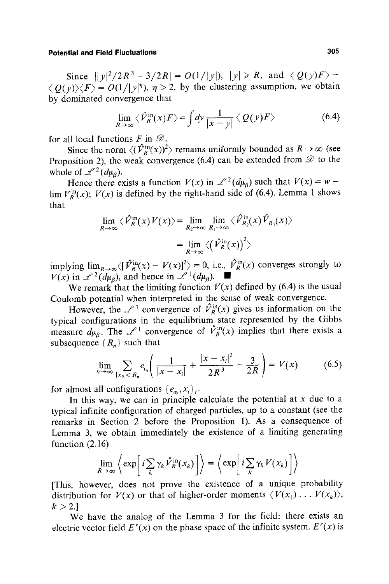Since  $||y|^2/2R^3 - 3/2R| = O(1/|y|), |y| \ge R$ , and  $\langle Q(y)F \rangle$ - $\langle Q(y)\rangle\langle F\rangle = O(1/|y|^{\eta}), \eta > 2$ , by the clustering assumption, we obtain by dominated convergence that

$$
\lim_{R \to \infty} \langle \hat{\mathcal{V}}_R^{\text{in}}(x) F \rangle = \int dy \frac{1}{|x - y|} \langle Q(y) F \rangle \tag{6.4}
$$

for all local functions F in  $\mathscr{D}$ .

Since the norm  $\langle (\hat{V}_R^{\text{in}}(x))^2 \rangle$  remains uniformly bounded as  $R \to \infty$  (see Proposition 2), the weak convergence (6.4) can be extended from  $\mathscr D$  to the whole of  $\mathscr{L}^2(d\mu_B)$ .

Hence there exists a function  $V(x)$  in  $\mathcal{L}^2(d\mu_B)$  such that  $V(x) = w \lim V_R^{\text{in}}(x)$ ;  $V(x)$  is defined by the right-hand side of (6.4). Lemma 1 shows that

$$
\lim_{R \to \infty} \langle \hat{V}_R^{\text{in}}(x) V(x) \rangle = \lim_{R_2 \to \infty} \lim_{R_1 \to \infty} \langle \hat{V}_{R_2}^{\text{in}}(x) \hat{V}_{R_1}(x) \rangle
$$

$$
= \lim_{R \to \infty} \langle (\hat{V}_R^{\text{in}}(x))^{2} \rangle
$$

implying  $\lim_{R\to\infty}\langle[\hat{V}_R^{\text{in}}(x) - V(x)]^2\rangle = 0$ , i.e.,  $\hat{V}_R^{\text{in}}(x)$  converges strongly to  $V(x)$  in  $\mathscr{L}^2(d\mu_B)$ , and hence in  $\mathscr{L}^1(d\mu_B)$ .

We remark that the limiting function  $V(x)$  defined by (6.4) is the usual Coulomb potential when interpreted in the sense of weak convergence.

However, the  $\mathscr{L}^1$  convergence of  $\hat{V}_R^{\text{in}}(x)$  gives us information on the typical configurations in the equilibrium state represented by the Gibbs measure  $d\mu_{\beta}$ . The  $\mathscr{L}^1$  convergence of  $\hat{V}_R^{\text{in}}(x)$  implies that there exists a subsequence  $\{R_n\}$  such that

$$
\lim_{n \to \infty} \sum_{|x_i| \le R_n} e_{\alpha_i} \left( \frac{1}{|x - x_i|} + \frac{|x - x_i|^2}{2R^3} - \frac{3}{2R} \right) = V(x) \tag{6.5}
$$

for almost all configurations  $\{e_{\alpha}, x_i\}_i$ .

In this way, we can in principle calculate the potential at  $x$  due to a typical infinite configuration of charged particles, up to a constant (see the remarks in Section 2 before the Proposition 1). As a consequence of Lemma 3, we obtain immediately the existence of a limiting generating function (2.16)

$$
\lim_{R\to\infty}\left\langle \exp\left[i\sum_{k}\gamma_{k}\hat{V}_{R}^{\text{in}}(x_{k})\right]\right\rangle = \left\langle \exp\left[i\sum_{k}\gamma_{k}V(x_{k})\right]\right\rangle
$$

[This, however, does not prove the existence of a unique probability distribution for  $V(x)$  or that of higher-order moments  $\langle V(x_1) \dots V(x_k) \rangle$ ,  $k > 2.1$ 

We have the analog of the Lemma 3 for the field: there exists an electric vector field  $E^{r}(x)$  on the phase space of the infinite system.  $E^{r}(x)$  is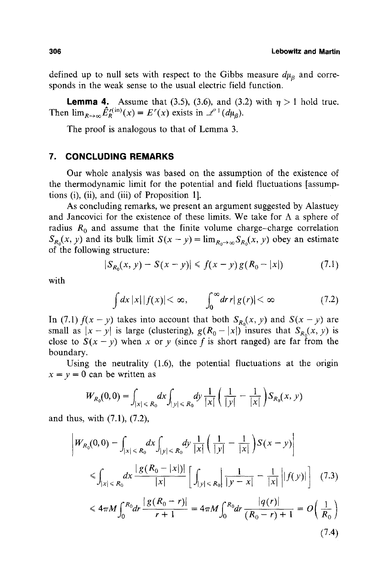(7.4)

defined up to null sets with respect to the Gibbs measure  $d\mu_{\alpha}$  and corresponds in the weak sense to the usual electric field function.

**Lemma 4.** Assume that (3.5), (3.6), and (3.2) with  $\eta > 1$  hold true. Then  $\lim_{R\to\infty}\hat{E}_R^{r(\text{in})}(x) = E^r(x)$  exists in  $\mathscr{L}^1(d\mu_B)$ .

The proof is analogous to that of Lemma 3.

### **7, CONCLUDING REMARKS**

Our whole analysis was based on the assumption of the existence of the thermodynamic limit for the potential and field fluctuations [assumptions (i), (ii), and (iii) of Proposition 1].

As concluding remarks, we present an argument suggested by Alastuey and Jancovici for the existence of these limits. We take for  $\Lambda$  a sphere of radius  $R_0$  and assume that the finite volume charge-charge correlation  $S_{R_0}(x, y)$  and its bulk limit  $S(x - y) = \lim_{R_0 \to \infty} S_{R_0}(x, y)$  obey an estimate of the following structure:

$$
|S_{R_0}(x, y) - S(x - y)| \le f(x - y) g(R_0 - |x|)
$$
 (7.1)

with

$$
\int dx |x| |f(x)| < \infty, \qquad \int_0^\infty dr \, r |g(r)| < \infty \tag{7.2}
$$

In (7.1)  $f(x-y)$  takes into account that both  $S_{R_0}(x, y)$  and  $S(x - y)$  are small as  $|x-y|$  is large (clustering),  $g(R_0-|x|)$  insures that  $S_{R_0}(x, y)$  is close to  $S(x - y)$  when x or y (since f is short ranged) are far from the boundary.

Using the neutrality (1.6), the potential fluctuations at the origin  $x = y = 0$  can be written as

$$
W_{R_0}(0,0) = \int_{|x| \le R_0} dx \int_{|y| \le R_0} dy \, \frac{1}{|x|} \left( \frac{1}{|y|} - \frac{1}{|x|} \right) S_{R_0}(x, y)
$$

and thus, with (7.1), (7.2),

$$
\left|W_{R_0}(0,0) - \int_{|x| < R_0} dx \int_{|y| < R_0} dy \frac{1}{|x|} \left( \frac{1}{|y|} - \frac{1}{|x|} \right) S(x - y) \right|
$$
\n
$$
\leq \int_{|x| < R_0} dx \frac{|g(R_0 - |x|)|}{|x|} \left[ \int_{|y| < R_0} \left| \frac{1}{|y - x|} - \frac{1}{|x|} \right| |f(y)| \right] \tag{7.3}
$$
\n
$$
\leq 4\pi M \int_0^{R_0} dr \frac{|g(R_0 - r)|}{r + 1} = 4\pi M \int_0^{R_0} dr \frac{|q(r)|}{(R_0 - r) + 1} = O\left(\frac{1}{R_0}\right)
$$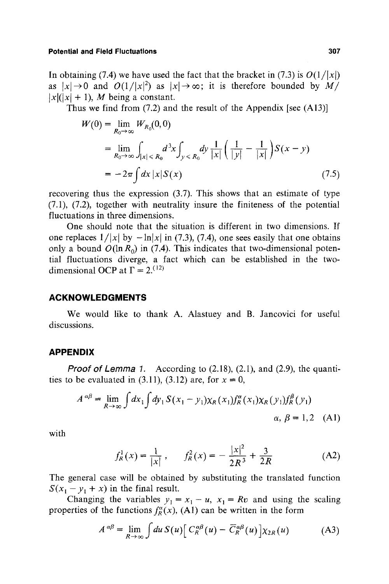In obtaining (7.4) we have used the fact that the bracket in (7.3) is  $O(1/|x|)$ as  $|x| \rightarrow 0$  and  $O(1/|x|^2)$  as  $|x| \rightarrow \infty$ ; it is therefore bounded by *M*/  $|x|(|x|+1)$ , *M* being a constant.

Thus we find from (7.2) and the result of the Appendix [see (A13)]

$$
W(0) = \lim_{R_0 \to \infty} W_{R_0}(0,0)
$$
  
=  $\lim_{R_0 \to \infty} \int_{|x| \le R_0} d^3x \int_{y \le R_0} dy \frac{1}{|x|} \left( \frac{1}{|y|} - \frac{1}{|x|} \right) S(x - y)$   
=  $-2\pi \int dx |x| S(x)$  (7.5)

recovering thus the expression (3.7). This shows that an estimate of type (7.1), (7.2), together with neutrality insure the finiteness of the potential fluctuations in three dimensions.

One should note that the situation is different in two dimensions. If one replaces  $1/|x|$  by  $-\ln|x|$  in (7.3), (7.4), one sees easily that one obtains only a bound  $O(\ln R_0)$  in (7.4). This indicates that two-dimensional potential fluctuations diverge, a fact which can be established in the twodimensional OCP at  $\Gamma = 2$ .<sup>(12)</sup>

## **ACKNOWLEDGMENTS**

We would like to thank A. Alastuey and B. Jancovici for useful discussions.

## **APPENDIX**

*Proof of Lemma 1.*  According to (2.18), (2.1), and (2.9), the quanti ties to be evaluated in (3.11), (3.12) are, for  $x = 0$ ,

$$
A^{\alpha\beta} = \lim_{R \to \infty} \int dx_1 \int dy_1 S(x_1 - y_1) \chi_R(x_1) f_R^{\alpha}(x_1) \chi_R(y_1) f_R^{\beta}(y_1)
$$
  
  $\alpha, \beta = 1, 2$  (A1)

with

$$
f_R^1(x) = \frac{1}{|x|}, \qquad f_R^2(x) = -\frac{|x|^2}{2R^3} + \frac{3}{2R}
$$
 (A2)

The general case will be obtained by substituting the translated function  $S(x_1 - y_1 + x)$  in the final result.

Changing the variables  $y_1 = x_1 - u$ ,  $x_1 = Rv$  and using the scaling properties of the functions  $f_R^{\alpha}(x)$ , (A1) can be written in the form

$$
A^{\alpha\beta} = \lim_{R \to \infty} \int du \, S(u) \Big[ C_R^{\alpha\beta}(u) - \overline{C}_R^{\alpha\beta}(u) \Big] \chi_{2R}(u) \tag{A3}
$$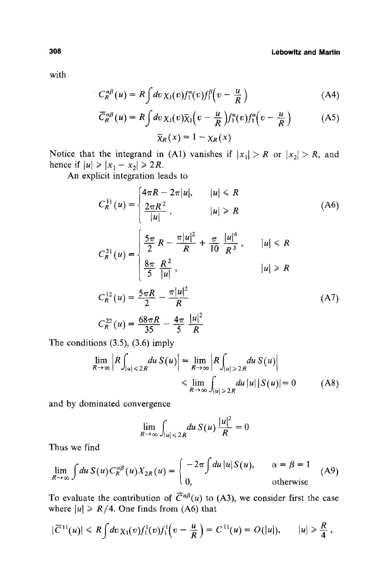with

$$
C_R^{\alpha\beta}(u) = R \int dv \,\chi_1(v) f_1^{\alpha}(v) f_1^{\beta}\Big(v - \frac{u}{R}\Big)
$$
 (A4)

$$
\overline{C}_{R}^{\alpha\beta}(u) = R \int dv \,\chi_{1}(v)\overline{\chi}_{1}\left(v - \frac{u}{R}\right) f_{1}^{\alpha}(v) f_{1}^{\alpha}\left(v - \frac{u}{R}\right) \tag{A5}
$$
\n
$$
\overline{\chi}_{R}(x) = 1 - \chi_{R}(x)
$$

Notice that the integrand in (A1) vanishes if  $|x_1| > R$  or  $|x_2| > R$ , and hence if  $|u| \ge |x_1 - x_2| \ge 2R$ .

An explicit integration leads to

$$
C_R^{11}(u) = \begin{cases} 4\pi R - 2\pi |u|, & |u| \le R \\ \frac{2\pi R^2}{|u|}, & |u| \ge R \end{cases}
$$
(A6)  

$$
C_R^{21}(u) = \begin{cases} \frac{5\pi}{2} R - \frac{\pi |u|^2}{R} + \frac{\pi}{10} \frac{|u|^4}{R^3}, & |u| \le R \\ \frac{8\pi}{5} \frac{R^2}{|u|}, & |u| \ge R \end{cases}
$$
  

$$
C_R^{12}(u) = \frac{5\pi R}{2} - \frac{\pi |u|^2}{R}
$$
  

$$
C_R^{22}(u) = \frac{68\pi R}{35} - \frac{4\pi}{5} \frac{|u|^2}{R}
$$
(A7)

The conditions (3.5), (3.6) imply

$$
\lim_{R \to \infty} \left| R \int_{|u| \le 2R} du \, S(u) \right| = \lim_{R \to \infty} \left| R \int_{|u| \ge 2R} du \, S(u) \right|
$$
  
\n
$$
\le \lim_{R \to \infty} \int_{|u| \ge 2R} du \, |u| \, |S(u)| = 0 \tag{A8}
$$

and by dominated convergence

$$
\lim_{R\to\infty}\int_{|u|\leqslant 2R}du\,S(u)\,\frac{|u|^2}{R}=0
$$

Thus we find

$$
\lim_{R \to \infty} \int du \, S(u) C_R^{\alpha \beta}(u) X_{2R}(u) = \begin{cases} -2\pi \int du \, |u| S(u), & \alpha = \beta = 1 \\ 0, & \text{otherwise} \end{cases}
$$
 (A9)

To evaluate the contribution of  $\overline{C}^{\alpha\beta}(u)$  to (A3), we consider first the case where  $|u| \ge R/4$ . One finds from (A6) that

$$
|\overline{C}^{11}(u)| \leq R \int dv \,\chi_1(v) f_1^1(v) f_1^1(v - \frac{u}{R}) = C^{11}(u) = O(|u|), \qquad |u| \geq \frac{R}{4} \,,
$$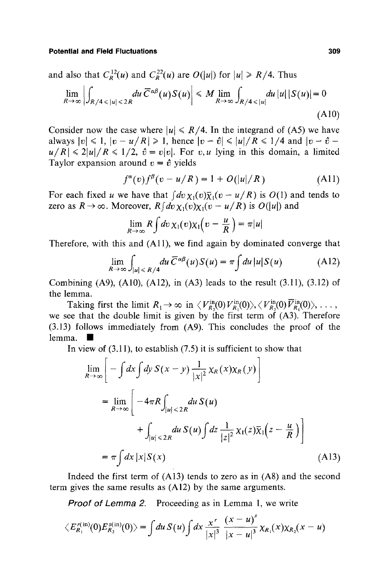and also that  $C_R^{12}(u)$  and  $C_R^{22}(u)$  are  $O(|u|)$  for  $|u|\geq R/4$ . Thus

$$
\lim_{R \to \infty} \left| \int_{R/4 \le |u| \le 2R} du \, \overline{C}^{\alpha \beta}(u) S(u) \right| \le M \lim_{R \to \infty} \int_{R/4 \le |u|} du \, |u| \, |S(u)| = 0
$$
\n(A10)

Consider now the case where  $|u| \le R/4$ . In the integrand of (A5) we have always  $|v| \le 1$ ,  $|v - u/R| \ge 1$ , hence  $|v - \hat{v}| \le |u|/R \le 1/4$  and  $|v - \hat{v}|$  $u/R \leq 2|u|/R \leq 1/2$ ,  $\hat{v} = v|v|$ . For *v, u* lying in this domain, a limited Taylor expansion around  $v = \hat{v}$  yields

$$
f^{\alpha}(v)f^{\beta}(v - u/R) = 1 + O(|u|/R)
$$
 (A11)

For each fixed u we have that  $\int dv \chi_1(v) \overline{\chi}_1(v - u/R)$  is  $O(1)$  and tends to zero as  $R \to \infty$ . Moreover,  $Rf dv \chi_1(v)\chi_1(v - u/R)$  is  $O(|u|)$  and

$$
\lim_{R\to\infty}R\int dv\,\chi_1(v)\chi_1(v-\frac{u}{R})=\pi|u|
$$

Therefore, with this and (A11), we find again by dominated converge that

$$
\lim_{R \to \infty} \int_{|u| \le R/4} du \, \overline{C}^{\alpha \beta}(u) S(u) = \pi \int du \, |u| S(u) \tag{A12}
$$

Combining  $(A9)$ ,  $(A10)$ ,  $(A12)$ , in  $(A3)$  leads to the result  $(3.11)$ ,  $(3.12)$  of the lemma.

Taking first the limit  $R_1 \to \infty$  in  $\langle V_{R_2}^{\text{in}}(0) V_{R_1}^{\text{in}}(0) \rangle$ ,  $\langle V_{R_2}^{\text{in}}(0) \overline{V}_{R_1}^{\text{in}}(0) \rangle$ , ..., we see that the double limit is given by the first term of  $(A3)$ . Therefore (3.13) follows immediately from (A9). This concludes the proof of the lemma. I

In view of  $(3.11)$ , to establish  $(7.5)$  it is sufficient to show that

$$
\lim_{R \to \infty} \left[ - \int dx \int dy \, S(x - y) \frac{1}{|x|^2} \chi_R(x) \chi_R(y) \right]
$$
\n
$$
= \lim_{R \to \infty} \left[ -4\pi R \int_{|u| \le 2R} du \, S(u) + \int_{|u| \le 2R} du \, S(u) \int dz \, \frac{1}{|z|^2} \chi_1(z) \overline{\chi}_1(z - \frac{u}{R}) \right]
$$
\n
$$
= \pi \int dx \, |x| S(x) \tag{A13}
$$

Indeed the first term of (A13) tends to zero as in (A8) and the second term gives the same results as (A12) by the same arguments.

*Proof of Lemma 2.* Proceeding as in Lemma 1, we write

$$
\langle E_{R_1}^{r(in)}(0)E_{R_2}^{s(in)}(0)\rangle = \int du\,S(u)\int dx\,\frac{x^r}{|x|^3}\,\frac{(x-u)^3}{|x-u|^3}\,\chi_{R_1}(x)\chi_{R_2}(x-u)
$$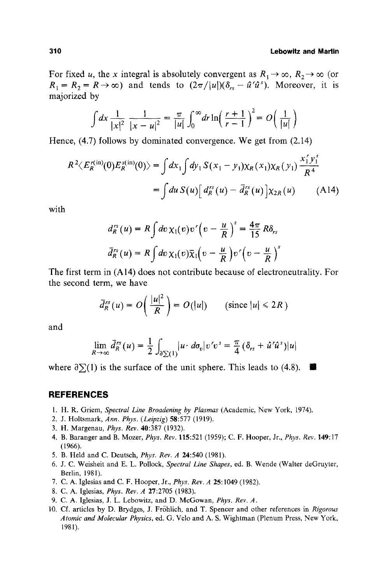For fixed u, the x integral is absolutely convergent as  $R_1 \rightarrow \infty$ ,  $R_2 \rightarrow \infty$  (or  $R_1 = R_2 = R \rightarrow \infty$ ) and tends to  $(2\pi/|u|)(\delta_{rs} - \hat{u}^r \hat{u}^s)$ . Moreover, it is majorized by

$$
\int dx \frac{1}{|x|^2} \frac{1}{|x - u|^2} = \frac{\pi}{|u|} \int_0^\infty dr \ln\left(\frac{r + 1}{r - 1}\right)^2 = O\left(\frac{1}{|u|}\right)
$$

Hence. (4.7) follows by dominated convergence. We get from (2.14)

$$
R^{2}\langle E_{R}^{r(\text{in})}(0)E_{R}^{s(\text{in})}(0)\rangle = \int dx_{1}\int dy_{1} S(x_{1}-y_{1})\chi_{R}(x_{1})\chi_{R}(y_{1}) \frac{x_{1}^{r}y_{1}^{s}}{R^{4}}
$$
  
= 
$$
\int du S(u)\Big[d_{R}^{rs}(u) - \bar{d}_{R}^{rs}(u)\Big]\chi_{2R}(u) \qquad (A14)
$$

with

$$
d_R^{rs}(u) = R \int dv \,\chi_1(v) v' \left(v - \frac{u}{R}\right)^s = \frac{4\pi}{15} R \delta_{rs}
$$

$$
\bar{d}_R^{rs}(u) = R \int dv \,\chi_1(v) \bar{\chi}_1\left(v - \frac{u}{R}\right) v' \left(v - \frac{u}{R}\right)^s
$$

The first term in (A14) does not contribute because of electroneutrality. For the second term. we have

$$
\bar{d}_R^{rs}(u) = O\left(\frac{|u|^2}{R}\right) = O(|u|) \qquad \text{(since } |u| \leq 2R\text{)}
$$

and

$$
\lim_{R\to\infty}\bar{d}_R^{rs}(u)=\frac{1}{2}\int_{\partial\Sigma(1)}|u\cdot d\sigma_v|v'v^s=\frac{\pi}{4}\left(\delta_{rs}+\hat{u}'\hat{u}^s\right)|u|
$$

where  $\partial \Sigma(1)$  is the surface of the unit sphere. This leads to (4.8).  $\blacksquare$ 

### **REFERENCES**

- l. H. R. Griem, *Spectral Line Broadening by Plasmas* (Academic, New York, 1974).
- 2. J. Holtsmark, *Ann. Phys. (Leipzig)* 58:577 (1919).
- 3. H. Margenau, *Phys. Rev.* 40:387 (1932).
- 4. B. Baranger and B. Mozer, *Phys. Bey.* 115:521 (1959); C. F. Hooper, Jr., *Phys. Rev.* 149:17 (1966).
- 5. B. Held and C. Deutsch, *Phys. Bey. A* 24:540 (1981).
- 6. J. C. Weisheit and E. L. Pollock, *Spectral Line Shapes,* ed. B. Wende (Walter deGruyter, Berlin, 1981).
- 7. C. A. Iglesias and C. F. Hooper, Jr., *Phys. Rev. A* 25:1049 (1982).
- 8. C. A. Iglesias, *Phys. Rev. A* 27:2705 (1983).
- 9. C. A. Iglesias, J. L. Lebowitz, and D. McGowan, *Phys. Rev. A.*
- 10. Cf. articles by D. Brydges, J. Fr6hlich, and T. Spencer and other references in *Rigorous Atomic and Molecular Physics,* ed. G. Velo and A. S. Wightman (Plenum Press, New York, 1981).